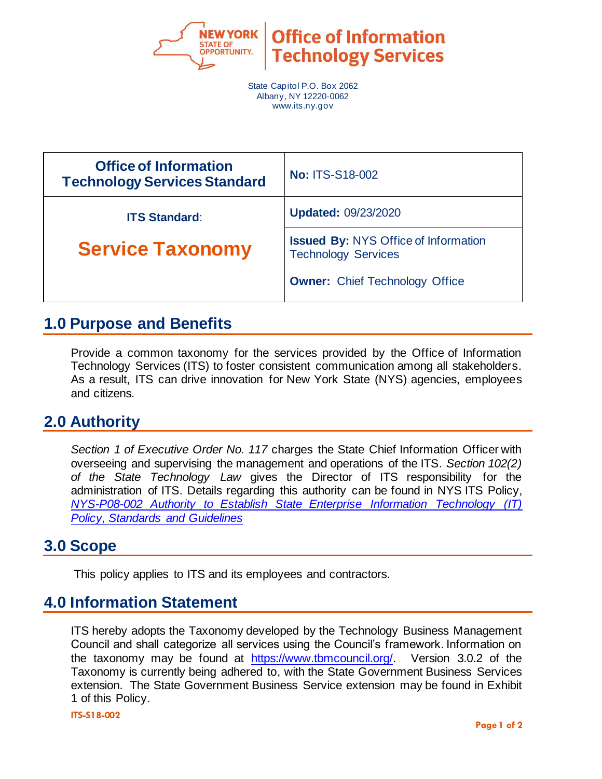

State Capitol P.O. Box 2062 Albany, NY 12220-0062 www.its.ny.gov

| <b>Office of Information</b><br><b>Technology Services Standard</b> | <b>No: ITS-S18-002</b>                                                    |  |
|---------------------------------------------------------------------|---------------------------------------------------------------------------|--|
| <b>ITS Standard:</b>                                                | <b>Updated: 09/23/2020</b>                                                |  |
| <b>Service Taxonomy</b>                                             | <b>Issued By: NYS Office of Information</b><br><b>Technology Services</b> |  |
|                                                                     | <b>Owner:</b> Chief Technology Office                                     |  |

## **1.0 Purpose and Benefits**

Provide a common taxonomy for the services provided by the Office of Information Technology Services (ITS) to foster consistent communication among all stakeholders. As a result, ITS can drive innovation for New York State (NYS) agencies, employees and citizens.

## **2.0 Authority**

*Section 1 of Executive Order No. 117* charges the State Chief Information Officer with overseeing and supervising the management and operations of the ITS*. Section 102(2) of the State Technology Law* gives the Director of ITS responsibility for the administration of ITS. Details regarding this authority can be found in NYS ITS Policy, *[NYS-P08-002 Authority to Establish State Enterprise Information Technology](https://its.ny.gov/document/authority-establish-state-enterprise-information-technology-it-policy-standards-and-guidelines) (IT) [Policy, Standards and Guidelines](https://its.ny.gov/document/authority-establish-state-enterprise-information-technology-it-policy-standards-and-guidelines)*

## **3.0 Scope**

This policy applies to ITS and its employees and contractors.

## **4.0 Information Statement**

ITS hereby adopts the Taxonomy developed by the Technology Business Management Council and shall categorize all services using the Council's framework. Information on the taxonomy may be found at [https://www.tbmcouncil.org/.](https://www.tbmcouncil.org/) Version 3.0.2 of the Taxonomy is currently being adhered to, with the State Government Business Services extension. The State Government Business Service extension may be found in Exhibit 1 of this Policy.

**ITS-S18-002**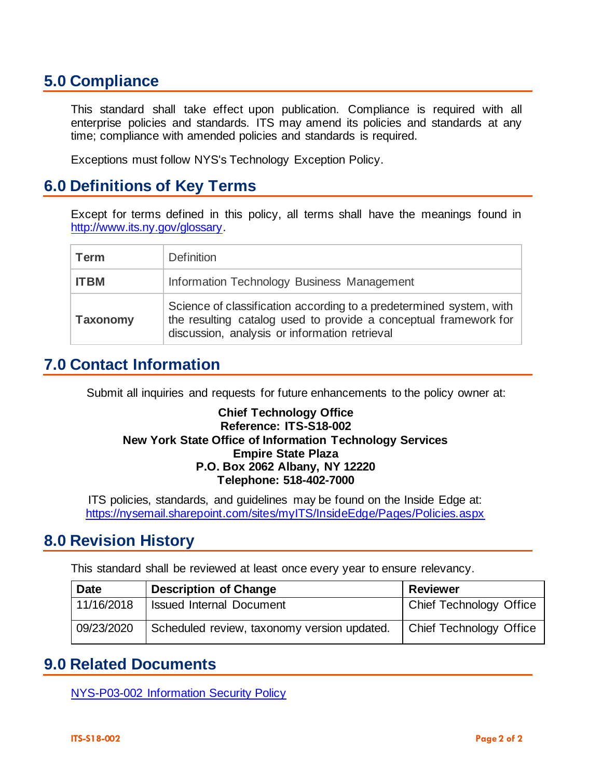# **5.0 Compliance**

This standard shall take effect upon publication. Compliance is required with all enterprise policies and standards. ITS may amend its policies and standards at any time; compliance with amended policies and standards is required.

Exceptions must follow NYS's Technology Exception Policy.

## **6.0 Definitions of Key Terms**

Except for terms defined in this policy, all terms shall have the meanings found in [http://www.its.ny.gov/glossary.](http://www.its.ny.gov/glossary)

| Term            | <b>Definition</b>                                                                                                                                                                        |  |
|-----------------|------------------------------------------------------------------------------------------------------------------------------------------------------------------------------------------|--|
| <b>ITBM</b>     | Information Technology Business Management                                                                                                                                               |  |
| <b>Taxonomy</b> | Science of classification according to a predetermined system, with<br>the resulting catalog used to provide a conceptual framework for<br>discussion, analysis or information retrieval |  |

## **7.0 Contact Information**

Submit all inquiries and requests for future enhancements to the policy owner at:

#### **Chief Technology Office Reference: ITS-S18-002 New York State Office of Information Technology Services Empire State Plaza P.O. Box 2062 Albany, NY 12220 Telephone: 518-402-7000**

ITS policies, standards, and guidelines may be found on the Inside Edge at: <https://nysemail.sharepoint.com/sites/myITS/InsideEdge/Pages/Policies.aspx>

## **8.0 Revision History**

This standard shall be reviewed at least once every year to ensure relevancy.

| <b>Date</b> | <b>Description of Change</b>                | <b>Reviewer</b>                |
|-------------|---------------------------------------------|--------------------------------|
| 11/16/2018  | <b>Issued Internal Document</b>             | Chief Technology Office        |
| 09/23/2020  | Scheduled review, taxonomy version updated. | <b>Chief Technology Office</b> |

## **9.0 Related Documents**

[NYS-P03-002 Information Security Policy](https://its.ny.gov/document/information-security-policy)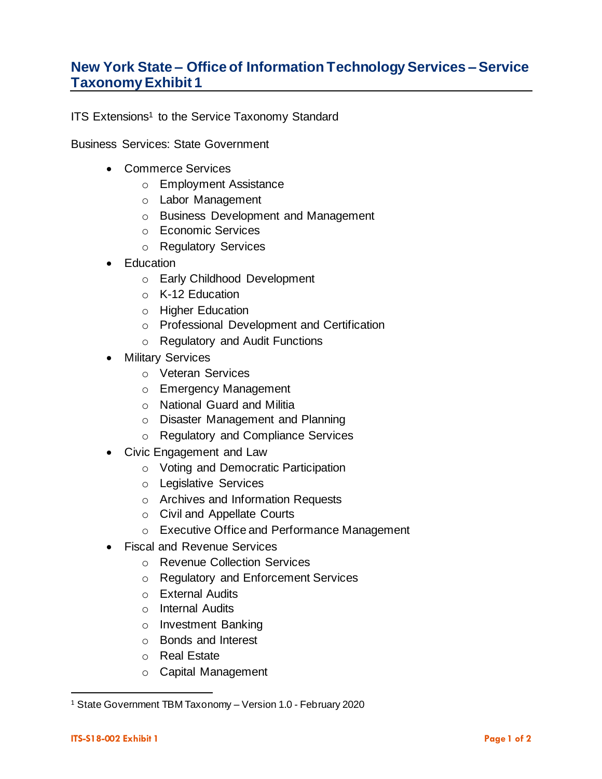#### **New York State – Office of Information Technology Services –Service Taxonomy Exhibit 1**

ITS Extensions<sup>1</sup> to the Service Taxonomy Standard

Business Services: State Government

- Commerce Services
	- o Employment Assistance
	- o Labor Management
	- o Business Development and Management
	- o Economic Services
	- o Regulatory Services
- Education
	- o Early Childhood Development
	- o K-12 Education
	- o Higher Education
	- o Professional Development and Certification
	- o Regulatory and Audit Functions
- Military Services
	- o Veteran Services
	- o Emergency Management
	- o National Guard and Militia
	- o Disaster Management and Planning
	- o Regulatory and Compliance Services
- Civic Engagement and Law
	- o Voting and Democratic Participation
	- o Legislative Services
	- o Archives and Information Requests
	- o Civil and Appellate Courts
	- o Executive Office and Performance Management
- Fiscal and Revenue Services
	- o Revenue Collection Services
	- o Regulatory and Enforcement Services
	- o External Audits
	- o Internal Audits
	- o Investment Banking
	- o Bonds and Interest
	- o Real Estate
	- o Capital Management

<sup>1</sup> State Government TBM Taxonomy – Version 1.0 - February 2020